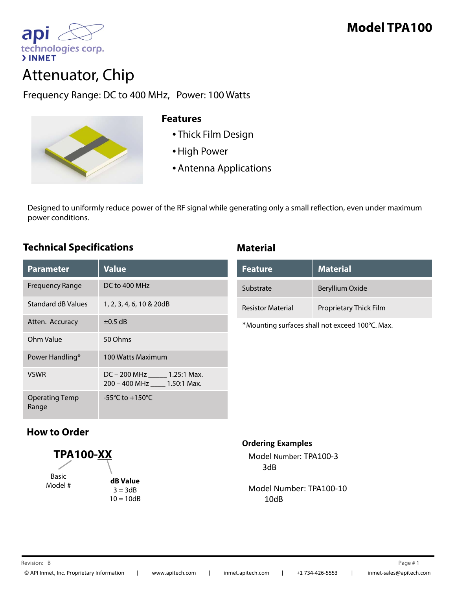



# Attenuator, Chip

Frequency Range: DC to 400 MHz, Power: 100 Watts



#### **Features**

- Thick Film Design
- High Power
- Antenna Applications

Designed to uniformly reduce power of the RF signal while generating only a small reflection, even under maximum power conditions. p

## **Technical Specifications Material**

| <b>Parameter</b>               | <b>Value</b>                                                 |
|--------------------------------|--------------------------------------------------------------|
| <b>Frequency Range</b>         | $DC$ to 400 MHz                                              |
| Standard dB Values             | 1, 2, 3, 4, 6, 10 & 20dB                                     |
| Atten. Accuracy                | $\pm 0.5$ dB                                                 |
| Ohm Value                      | 50 Ohms                                                      |
| Power Handling*                | 100 Watts Maximum                                            |
| <b>VSWR</b>                    | DC - 200 MHz ______ 1.25:1 Max.<br>200 - 400 MHz 1.50:1 Max. |
| <b>Operating Temp</b><br>Range | -55 $^{\circ}$ C to +150 $^{\circ}$ C                        |

| <b>Feature</b>           | <b>Material</b>        |
|--------------------------|------------------------|
| Substrate                | Beryllium Oxide        |
| <b>Resistor Material</b> | Proprietary Thick Film |

\*Mounting surfaces shall not exceed 100°C. Max.

# **How to Order**



#### **Ordering Examples**

Model Number: TPA100‐3 3dB

Model Number: TPA100‐10 10dB